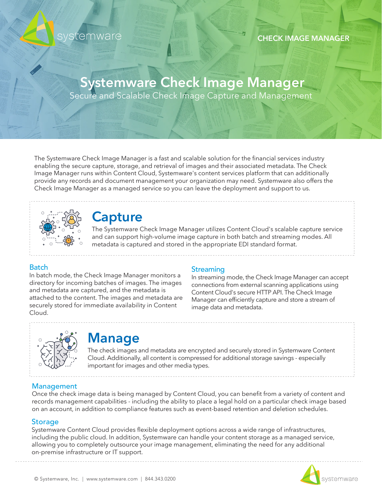

#### **CHECK IMAGE MANAGER**

# **Systemware Check Image Manager**

Secure and Scalable Check Image Capture and Management

The Systemware Check Image Manager is a fast and scalable solution for the financial services industry enabling the secure capture, storage, and retrieval of images and their associated metadata. The Check Image Manager runs within Content Cloud, Systemware's content services platform that can additionally provide any records and document management your organization may need. Systemware also offers the Check Image Manager as a managed service so you can leave the deployment and support to us.



### **Capture**

The Systemware Check Image Manager utilizes Content Cloud's scalable capture service and can support high-volume image capture in both batch and streaming modes. All metadata is captured and stored in the appropriate EDI standard format.

#### **Batch**

In batch mode, the Check Image Manager monitors a directory for incoming batches of images. The images and metadata are captured, and the metadata is attached to the content. The images and metadata are securely stored for immediate availability in Content Cloud.

#### **Streaming**

In streaming mode, the Check Image Manager can accept connections from external scanning applications using Content Cloud's secure HTTP API. The Check Image Manager can efficiently capture and store a stream of image data and metadata.



### **Manage**

The check images and metadata are encrypted and securely stored in Systemware Content Cloud. Additionally, all content is compressed for additional storage savings - especially important for images and other media types.

#### Management

Once the check image data is being managed by Content Cloud, you can benefit from a variety of content and records management capabilities - including the ability to place a legal hold on a particular check image based on an account, in addition to compliance features such as event-based retention and deletion schedules.

#### **Storage**

Systemware Content Cloud provides flexible deployment options across a wide range of infrastructures, including the public cloud. In addition, Systemware can handle your content storage as a managed service, allowing you to completely outsource your image management, eliminating the need for any additional on-premise infrastructure or IT support.

systemware